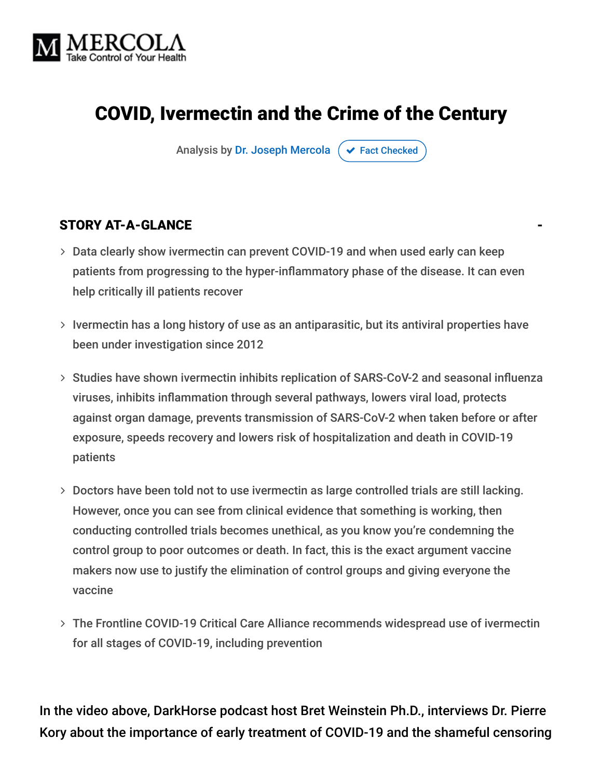

# COVID, Ivermectin and the Crime of the Century

Analysis by [Dr. Joseph Mercola](https://www.mercola.com/forms/background.htm)  $\sigma$  [Fact Checked](javascript:void(0))

#### STORY AT-A-GLANCE

- Data clearly show ivermectin can prevent COVID-19 and when used early can keep patients from progressing to the hyper-inflammatory phase of the disease. It can even help critically ill patients recover
- $>$  Ivermectin has a long history of use as an antiparasitic, but its antiviral properties have been under investigation since 2012
- > Studies have shown ivermectin inhibits replication of SARS-CoV-2 and seasonal influenza viruses, inhibits inflammation through several pathways, lowers viral load, protects against organ damage, prevents transmission of SARS-CoV-2 when taken before or after exposure, speeds recovery and lowers risk of hospitalization and death in COVID-19 patients
- Doctors have been told not to use ivermectin as large controlled trials are still lacking. However, once you can see from clinical evidence that something is working, then conducting controlled trials becomes unethical, as you know you're condemning the control group to poor outcomes or death. In fact, this is the exact argument vaccine makers now use to justify the elimination of control groups and giving everyone the vaccine
- The Frontline COVID-19 Critical Care Alliance recommends widespread use of ivermectin for all stages of COVID-19, including prevention

In the video above, DarkHorse podcast host Bret Weinstein Ph.D., interviews Dr. Pierre Kory about the importance of early treatment of COVID-19 and the shameful censoring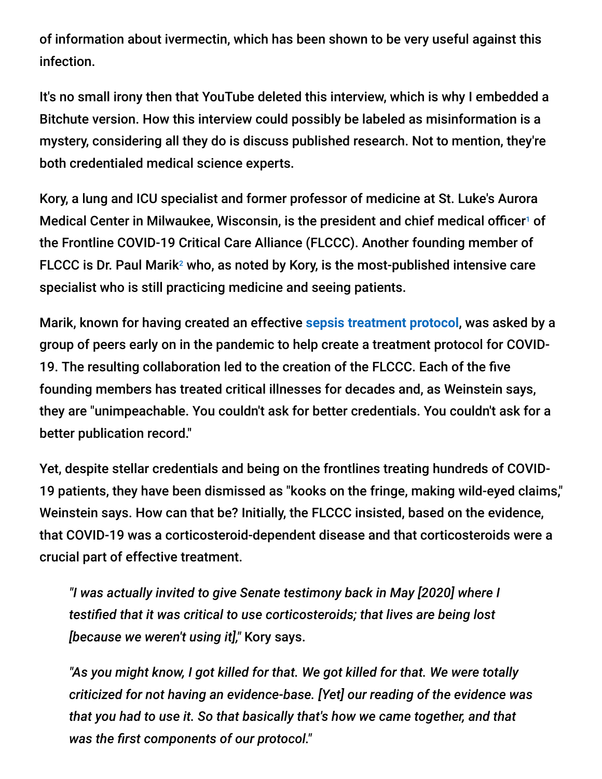of information about ivermectin, which has been shown to be very useful against this infection.

It's no small irony then that YouTube deleted this interview, which is why I embedded a Bitchute version. How this interview could possibly be labeled as misinformation is a mystery, considering all they do is discuss published research. Not to mention, they're both credentialed medical science experts.

Kory, a lung and ICU specialist and former professor of medicine at St. Luke's Aurora Medical Center in Milwaukee, Wisconsin, is the president and chief medical officer<sup>1</sup> of the Frontline COVID-19 Critical Care Alliance (FLCCC). Another founding member of FLCCC is Dr. Paul Marik<sup>2</sup> who, as noted by Kory, is the most-published intensive care specialist who is still practicing medicine and seeing patients.

Marik, known for having created an effective **[sepsis treatment protocol](https://articles.mercola.com/sites/articles/archive/2017/04/05/vitamin-c-b1-hydrocortisone-reduce-sepsis-mortality.aspx)**, was asked by a group of peers early on in the pandemic to help create a treatment protocol for COVID-19. The resulting collaboration led to the creation of the FLCCC. Each of the five founding members has treated critical illnesses for decades and, as Weinstein says, they are "unimpeachable. You couldn't ask for better credentials. You couldn't ask for a better publication record."

Yet, despite stellar credentials and being on the frontlines treating hundreds of COVID-19 patients, they have been dismissed as "kooks on the fringe, making wild-eyed claims," Weinstein says. How can that be? Initially, the FLCCC insisted, based on the evidence, that COVID-19 was a corticosteroid-dependent disease and that corticosteroids were a crucial part of effective treatment.

*"I was actually invited to give Senate testimony back in May [2020] where I testified that it was critical to use corticosteroids; that lives are being lost [because we weren't using it],"* Kory says.

*"As you might know, I got killed for that. We got killed for that. We were totally criticized for not having an evidence-base. [Yet] our reading of the evidence was that you had to use it. So that basically that's how we came together, and that was the first components of our protocol."*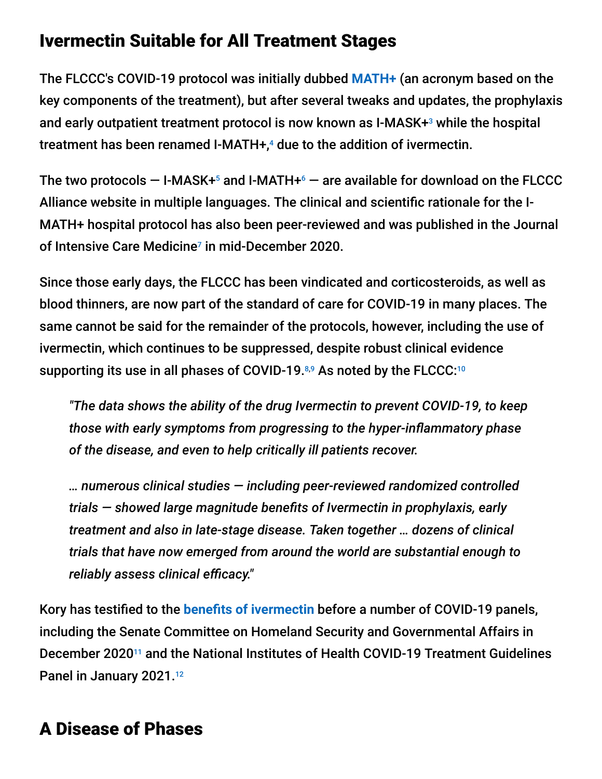### Ivermectin Suitable for All Treatment Stages

The FLCCC's COVID-19 protocol was initially dubbed **[MATH+](https://articles.mercola.com/sites/articles/archive/2020/05/29/dr-paul-marik-critical-care.aspx)** (an acronym based on the key components of the treatment), but after several tweaks and updates, the prophylaxis and early outpatient treatment protocol is now known as I-MASK+<sup>3</sup> while the hospital treatment has been renamed I-MATH+,<sup>4</sup> due to the addition of ivermectin.

The two protocols  $-$  I-MASK+ $^5$  and I-MATH+ $^6$   $-$  are available for download on the FLCCC Alliance website in multiple languages. The clinical and scientific rationale for the I-MATH+ hospital protocol has also been peer-reviewed and was published in the Journal of Intensive Care Medicine<sup>7</sup> in mid-December 2020.

Since those early days, the FLCCC has been vindicated and corticosteroids, as well as blood thinners, are now part of the standard of care for COVID-19 in many places. The same cannot be said for the remainder of the protocols, however, including the use of ivermectin, which continues to be suppressed, despite robust clinical evidence supporting its use in all phases of COVID-19. $8,9$  As noted by the FLCCC: $10$ 

*"The data shows the ability of the drug Ivermectin to prevent COVID-19, to keep those with early symptoms from progressing to the hyper-inflammatory phase of the disease, and even to help critically ill patients recover.*

*… numerous clinical studies — including peer-reviewed randomized controlled trials — showed large magnitude benefits of Ivermectin in prophylaxis, early treatment and also in late-stage disease. Taken together … dozens of clinical trials that have now emerged from around the world are substantial enough to reliably assess clinical efficacy."*

Kory has testified to the **[benefits of ivermectin](https://articles.mercola.com/sites/articles/archive/2021/05/05/human-prescription-ivermectin.aspx)** before a number of COVID-19 panels, including the Senate Committee on Homeland Security and Governmental Affairs in December 2020<sup>11</sup> and the National Institutes of Health COVID-19 Treatment Guidelines Panel in January 2021.<sup>12</sup>

# A Disease of Phases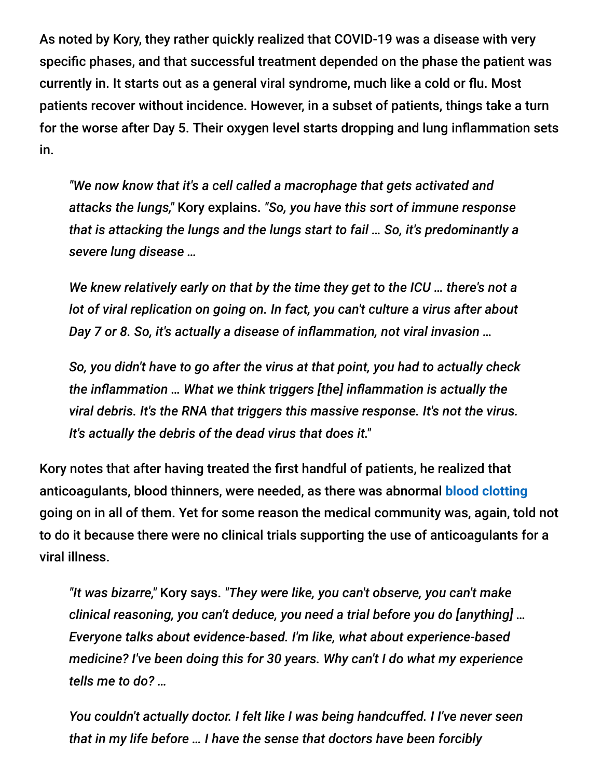As noted by Kory, they rather quickly realized that COVID-19 was a disease with very specific phases, and that successful treatment depended on the phase the patient was currently in. It starts out as a general viral syndrome, much like a cold or flu. Most patients recover without incidence. However, in a subset of patients, things take a turn for the worse after Day 5. Their oxygen level starts dropping and lung inflammation sets in.

*"We now know that it's a cell called a macrophage that gets activated and attacks the lungs,"* Kory explains. *"So, you have this sort of immune response that is attacking the lungs and the lungs start to fail … So, it's predominantly a severe lung disease …*

*We knew relatively early on that by the time they get to the ICU … there's not a lot of viral replication on going on. In fact, you can't culture a virus after about Day 7 or 8. So, it's actually a disease of inflammation, not viral invasion …*

*So, you didn't have to go after the virus at that point, you had to actually check the inflammation … What we think triggers [the] inflammation is actually the viral debris. It's the RNA that triggers this massive response. It's not the virus. It's actually the debris of the dead virus that does it."*

Kory notes that after having treated the first handful of patients, he realized that anticoagulants, blood thinners, were needed, as there was abnormal **[blood clotting](https://articles.mercola.com/sites/articles/archive/2021/05/28/how-covid-vaccines-can-cause-blood-clots.aspx)** going on in all of them. Yet for some reason the medical community was, again, told not to do it because there were no clinical trials supporting the use of anticoagulants for a viral illness.

*"It was bizarre,"* Kory says. *"They were like, you can't observe, you can't make clinical reasoning, you can't deduce, you need a trial before you do [anything] … Everyone talks about evidence-based. I'm like, what about experience-based medicine? I've been doing this for 30 years. Why can't I do what my experience tells me to do? …*

*You couldn't actually doctor. I felt like I was being handcuffed. I I've never seen that in my life before … I have the sense that doctors have been forcibly*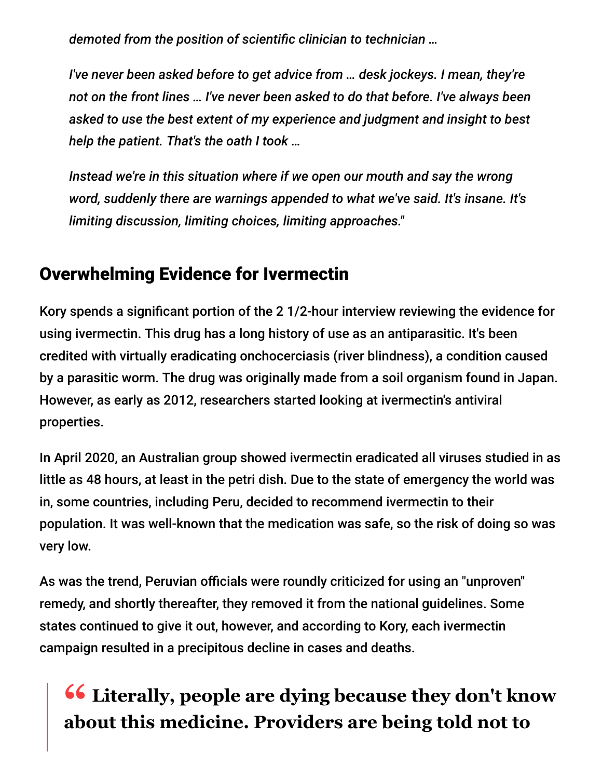*demoted from the position of scientific clinician to technician …*

*I've never been asked before to get advice from … desk jockeys. I mean, they're not on the front lines … I've never been asked to do that before. I've always been asked to use the best extent of my experience and judgment and insight to best help the patient. That's the oath I took …*

*Instead we're in this situation where if we open our mouth and say the wrong word, suddenly there are warnings appended to what we've said. It's insane. It's limiting discussion, limiting choices, limiting approaches."*

## Overwhelming Evidence for Ivermectin

Kory spends a significant portion of the 2 1/2-hour interview reviewing the evidence for using ivermectin. This drug has a long history of use as an antiparasitic. It's been credited with virtually eradicating onchocerciasis (river blindness), a condition caused by a parasitic worm. The drug was originally made from a soil organism found in Japan. However, as early as 2012, researchers started looking at ivermectin's antiviral properties.

In April 2020, an Australian group showed ivermectin eradicated all viruses studied in as little as 48 hours, at least in the petri dish. Due to the state of emergency the world was in, some countries, including Peru, decided to recommend ivermectin to their population. It was well-known that the medication was safe, so the risk of doing so was very low.

As was the trend, Peruvian officials were roundly criticized for using an "unproven" remedy, and shortly thereafter, they removed it from the national guidelines. Some states continued to give it out, however, and according to Kory, each ivermectin campaign resulted in a precipitous decline in cases and deaths.

# **<sup>66</sup>** Literally, people are dying because they don't know **about this medicine. Providers are being told not to**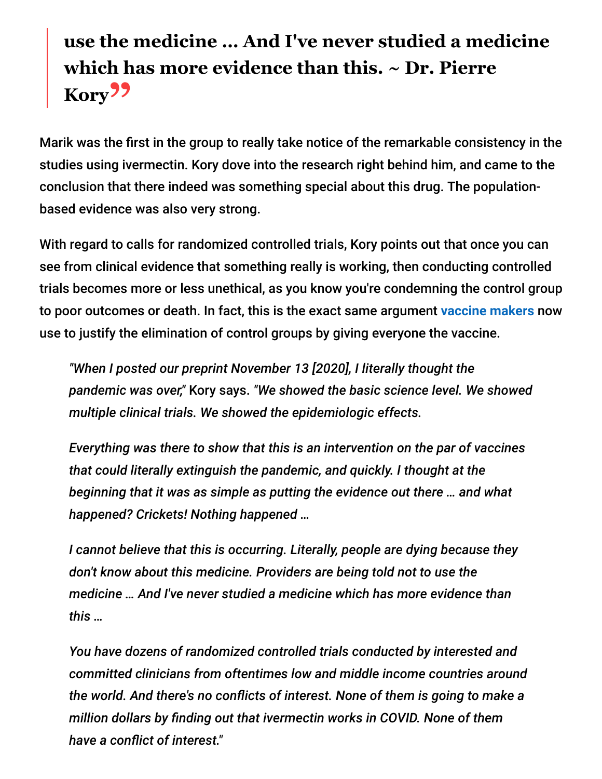# **use the medicine … And I've never studied a medicine which has more evidence than this. ~ Dr. Pierre** Kory<sup>22</sup>

Marik was the first in the group to really take notice of the remarkable consistency in the studies using ivermectin. Kory dove into the research right behind him, and came to the conclusion that there indeed was something special about this drug. The populationbased evidence was also very strong.

With regard to calls for randomized controlled trials, Kory points out that once you can see from clinical evidence that something really is working, then conducting controlled trials becomes more or less unethical, as you know you're condemning the control group to poor outcomes or death. In fact, this is the exact same argument **[vaccine makers](https://articles.mercola.com/sites/articles/archive/2021/04/20/coronavirus-vaccine-safety-studies.aspx)** now use to justify the elimination of control groups by giving everyone the vaccine.

*"When I posted our preprint November 13 [2020], I literally thought the pandemic was over,"* Kory says. *"We showed the basic science level. We showed multiple clinical trials. We showed the epidemiologic effects.*

*Everything was there to show that this is an intervention on the par of vaccines that could literally extinguish the pandemic, and quickly. I thought at the beginning that it was as simple as putting the evidence out there … and what happened? Crickets! Nothing happened …*

*I cannot believe that this is occurring. Literally, people are dying because they don't know about this medicine. Providers are being told not to use the medicine … And I've never studied a medicine which has more evidence than this …*

*You have dozens of randomized controlled trials conducted by interested and committed clinicians from oftentimes low and middle income countries around the world. And there's no conflicts of interest. None of them is going to make a million dollars by finding out that ivermectin works in COVID. None of them have a conflict of interest."*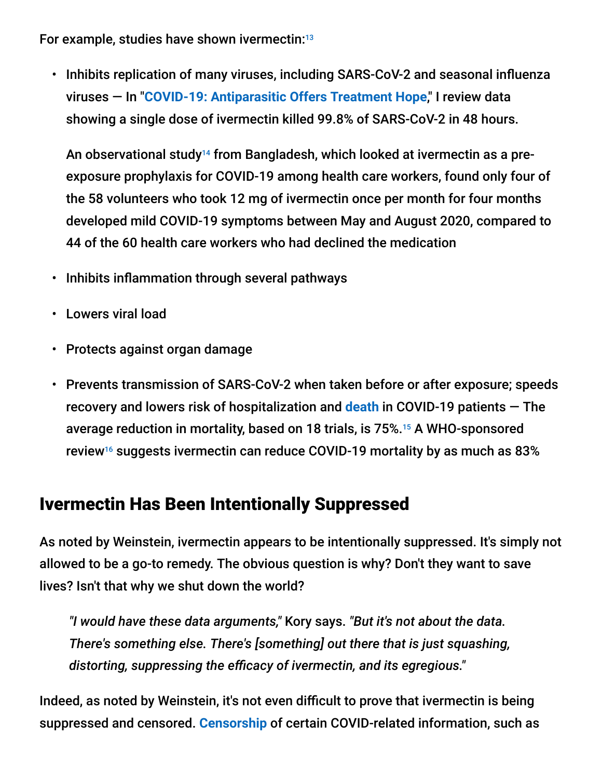For example, studies have shown ivermectin: 13

• Inhibits replication of many viruses, including SARS-CoV-2 and seasonal influenza viruses — In "**[COVID-19: Antiparasitic Offers Treatment Hope](https://articles.mercola.com/sites/articles/archive/2020/06/12/antiparasitic-medication-offers-hope-for-covid-19.aspx)**," I review data showing a single dose of ivermectin killed 99.8% of SARS-CoV-2 in 48 hours.

An observational study<sup>14</sup> from Bangladesh, which looked at ivermectin as a preexposure prophylaxis for COVID-19 among health care workers, found only four of the 58 volunteers who took 12 mg of ivermectin once per month for four months developed mild COVID-19 symptoms between May and August 2020, compared to 44 of the 60 health care workers who had declined the medication

- Inhibits inflammation through several pathways
- Lowers viral load
- Protects against organ damage
- Prevents transmission of SARS-CoV-2 when taken before or after exposure; speeds recovery and lowers risk of hospitalization and **[death](https://articles.mercola.com/sites/articles/archive/2021/05/27/mass-vaccination-triggers-spike-covid-19-cases.aspx)** in COVID-19 patients — The average reduction in mortality, based on 18 trials, is 75%.<sup>15</sup> A WHO-sponsored review $16$  suggests ivermectin can reduce COVID-19 mortality by as much as 83%

### Ivermectin Has Been Intentionally Suppressed

As noted by Weinstein, ivermectin appears to be intentionally suppressed. It's simply not allowed to be a go-to remedy. The obvious question is why? Don't they want to save lives? Isn't that why we shut down the world?

*"I would have these data arguments,"* Kory says. *"But it's not about the data. There's something else. There's [something] out there that is just squashing, distorting, suppressing the efficacy of ivermectin, and its egregious."*

Indeed, as noted by Weinstein, it's not even difficult to prove that ivermectin is being suppressed and censored. **[Censorship](https://articles.mercola.com/sites/articles/archive/2021/05/31/facebook-censoring-vaccine-hesitancy.aspx)** of certain COVID-related information, such as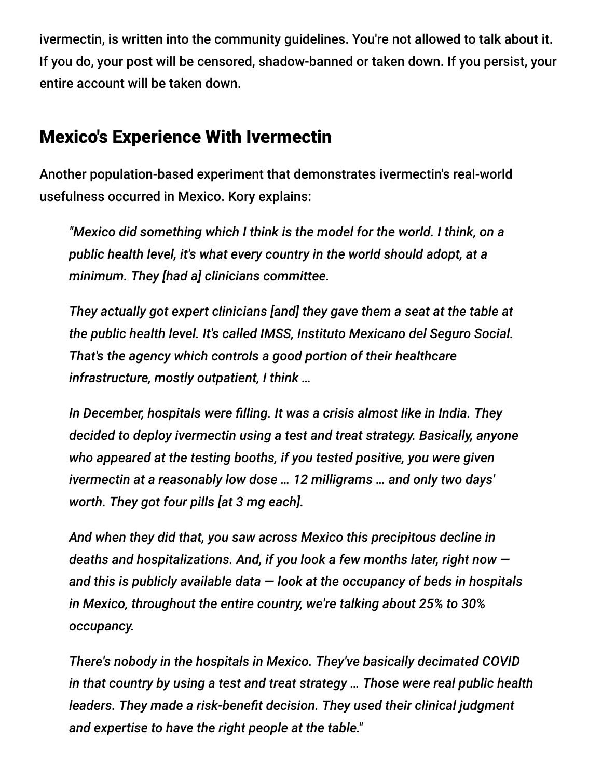ivermectin, is written into the community guidelines. You're not allowed to talk about it. If you do, your post will be censored, shadow-banned or taken down. If you persist, your entire account will be taken down.

### Mexico's Experience With Ivermectin

Another population-based experiment that demonstrates ivermectin's real-world usefulness occurred in Mexico. Kory explains:

*"Mexico did something which I think is the model for the world. I think, on a public health level, it's what every country in the world should adopt, at a minimum. They [had a] clinicians committee.*

*They actually got expert clinicians [and] they gave them a seat at the table at the public health level. It's called IMSS, Instituto Mexicano del Seguro Social. That's the agency which controls a good portion of their healthcare infrastructure, mostly outpatient, I think …*

*In December, hospitals were filling. It was a crisis almost like in India. They decided to deploy ivermectin using a test and treat strategy. Basically, anyone who appeared at the testing booths, if you tested positive, you were given ivermectin at a reasonably low dose … 12 milligrams … and only two days' worth. They got four pills [at 3 mg each].*

*And when they did that, you saw across Mexico this precipitous decline in deaths and hospitalizations. And, if you look a few months later, right now and this is publicly available data — look at the occupancy of beds in hospitals in Mexico, throughout the entire country, we're talking about 25% to 30% occupancy.*

*There's nobody in the hospitals in Mexico. They've basically decimated COVID in that country by using a test and treat strategy … Those were real public health leaders. They made a risk-benefit decision. They used their clinical judgment and expertise to have the right people at the table."*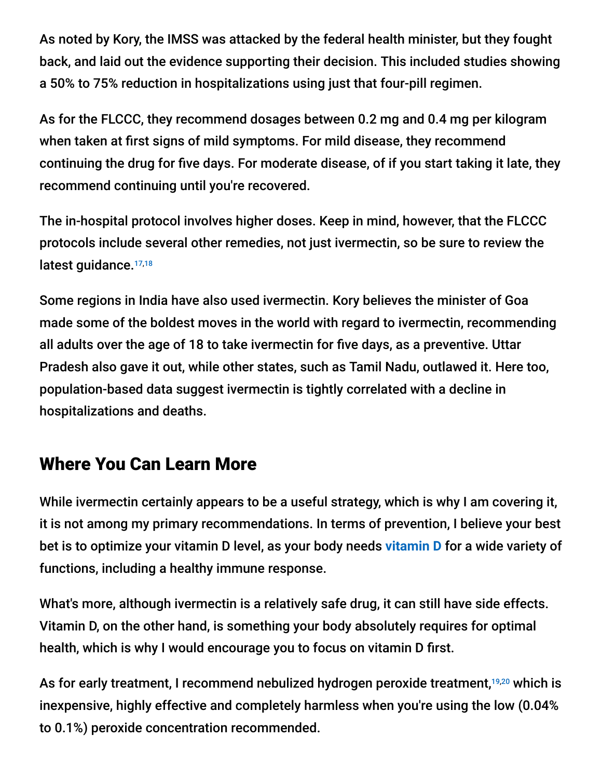As noted by Kory, the IMSS was attacked by the federal health minister, but they fought back, and laid out the evidence supporting their decision. This included studies showing a 50% to 75% reduction in hospitalizations using just that four-pill regimen.

As for the FLCCC, they recommend dosages between 0.2 mg and 0.4 mg per kilogram when taken at first signs of mild symptoms. For mild disease, they recommend continuing the drug for five days. For moderate disease, of if you start taking it late, they recommend continuing until you're recovered.

The in-hospital protocol involves higher doses. Keep in mind, however, that the FLCCC protocols include several other remedies, not just ivermectin, so be sure to review the latest guidance.<sup>17,18</sup>

Some regions in India have also used ivermectin. Kory believes the minister of Goa made some of the boldest moves in the world with regard to ivermectin, recommending all adults over the age of 18 to take ivermectin for five days, as a preventive. Uttar Pradesh also gave it out, while other states, such as Tamil Nadu, outlawed it. Here too, population-based data suggest ivermectin is tightly correlated with a decline in hospitalizations and deaths.

## Where You Can Learn More

While ivermectin certainly appears to be a useful strategy, which is why I am covering it, it is not among my primary recommendations. In terms of prevention, I believe your best bet is to optimize your vitamin D level, as your body needs **[vitamin D](https://articles.mercola.com/sites/articles/archive/2021/02/22/vitamin-d3-for-coronavirus.aspx)** for a wide variety of functions, including a healthy immune response.

What's more, although ivermectin is a relatively safe drug, it can still have side effects. Vitamin D, on the other hand, is something your body absolutely requires for optimal health, which is why I would encourage you to focus on vitamin D first.

As for early treatment, I recommend nebulized hydrogen peroxide treatment,<sup>19,20</sup> which is inexpensive, highly effective and completely harmless when you're using the low (0.04% to 0.1%) peroxide concentration recommended.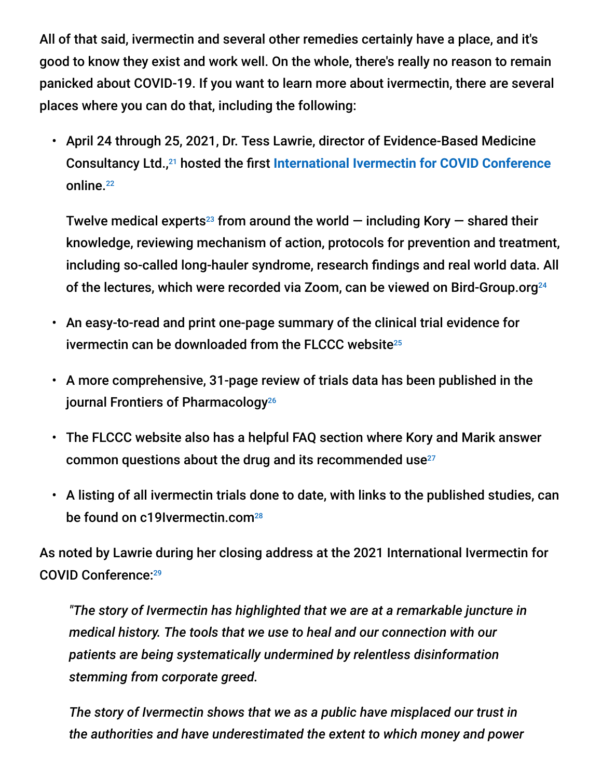All of that said, ivermectin and several other remedies certainly have a place, and it's good to know they exist and work well. On the whole, there's really no reason to remain panicked about COVID-19. If you want to learn more about ivermectin, there are several places where you can do that, including the following:

• April 24 through 25, 2021, Dr. Tess Lawrie, director of Evidence-Based Medicine Consultancy Ltd.,<sup>21</sup> hosted the first [International Ivermectin for COVID Conference](https://articles.mercola.com/sites/articles/archive/2021/05/21/ivermectin-for-covid-19.aspx) online. 22

Twelve medical experts<sup>23</sup> from around the world  $-$  including Kory  $-$  shared their knowledge, reviewing mechanism of action, protocols for prevention and treatment, including so-called long-hauler syndrome, research findings and real world data. All of the lectures, which were recorded via Zoom, can be viewed on Bird-Group.org 24

- An easy-to-read and print one-page summary of the clinical trial evidence for ivermectin can be downloaded from the FLCCC website 25
- A more comprehensive, 31-page review of trials data has been published in the journal Frontiers of Pharmacology 26
- The FLCCC website also has a helpful FAQ section where Kory and Marik answer common questions about the drug and its recommended use 27
- A listing of all ivermectin trials done to date, with links to the published studies, can be found on c19Ivermectin.com<sup>28</sup>

As noted by Lawrie during her closing address at the 2021 International Ivermectin for COVID Conference: 29

*"The story of Ivermectin has highlighted that we are at a remarkable juncture in medical history. The tools that we use to heal and our connection with our patients are being systematically undermined by relentless disinformation stemming from corporate greed.*

*The story of Ivermectin shows that we as a public have misplaced our trust in the authorities and have underestimated the extent to which money and power*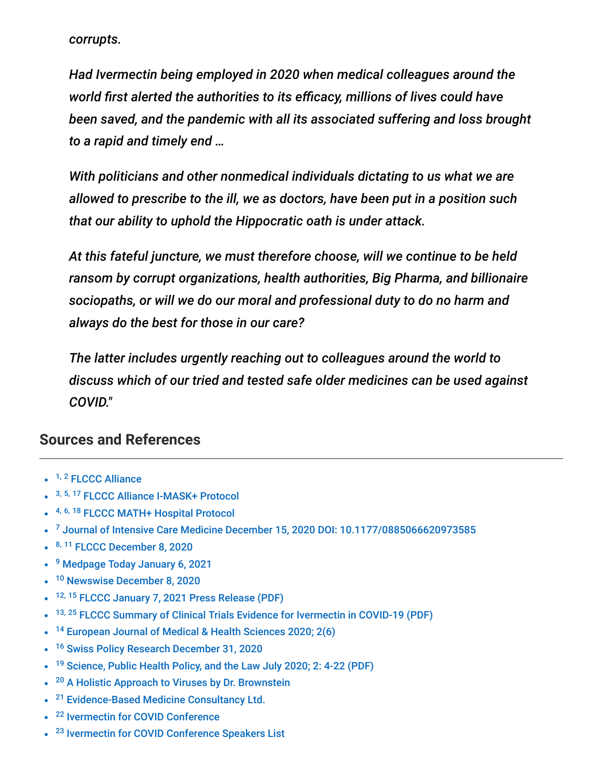*corrupts.*

*Had Ivermectin being employed in 2020 when medical colleagues around the world first alerted the authorities to its efficacy, millions of lives could have been saved, and the pandemic with all its associated suffering and loss brought to a rapid and timely end …*

*With politicians and other nonmedical individuals dictating to us what we are allowed to prescribe to the ill, we as doctors, have been put in a position such that our ability to uphold the Hippocratic oath is under attack.*

*At this fateful juncture, we must therefore choose, will we continue to be held ransom by corrupt organizations, health authorities, Big Pharma, and billionaire sociopaths, or will we do our moral and professional duty to do no harm and always do the best for those in our care?*

*The latter includes urgently reaching out to colleagues around the world to discuss which of our tried and tested safe older medicines can be used against COVID."*

#### **Sources and References**

- <sup>1, 2</sup> [FLCCC Alliance](https://covid19criticalcare.com/about/the-flccc-physicians/)
- 3, 5, 17 [FLCCC Alliance I-MASK+ Protocol](https://covid19criticalcare.com/i-mask-prophylaxis-treatment-protocol/i-mask-protocol-translations/)
- 4, 6, 18 [FLCCC MATH+ Hospital Protocol](https://covid19criticalcare.com/math-hospital-treatment/pdf-translations/)
- $^7$  [Journal of Intensive Care Medicine December 15, 2020 DOI: 10.1177/0885066620973585](https://journals.sagepub.com/doi/10.1177/0885066620973585)
- <sup>8, 11</sup> [FLCCC December 8, 2020](https://covid19criticalcare.com/)
- <sup>9</sup> [Medpage Today January 6, 2021](https://www.medpagetoday.com/infectiousdisease/covid19/90552)
- <sup>10</sup> [Newswise December 8, 2020](https://www.newswise.com/coronavirus/dr-pierre-kory-president-of-the-flccc-alliance-testifies-before-senate-committee-on-homeland-security-and-governmental-affairs-looking-into-early-outpatient-covid-19-treatment)
- $\bullet$ <sup>12, 15</sup> [FLCCC January 7, 2021 Press Release \(PDF\)](https://covid19criticalcare.com/wp-content/uploads/2021/01/FLCCC-PressRelease-NIH-C19-Panel-FollowUp-Jan7-2021.pdf)
- <sup>13, 25</sup> [FLCCC Summary of Clinical Trials Evidence for Ivermectin in COVID-19 \(PDF\)](https://covid19criticalcare.com/wp-content/uploads/2020/12/One-Page-Summary-of-the-Clinical-Trials-Evidence-for-Ivermectin-in-COVID-19.pdf)
- <sup>14</sup> [European Journal of Medical & Health Sciences 2020; 2\(6\)](https://www.ejmed.org/index.php/ejmed/article/view/599)  $\bullet$
- <sup>16</sup> [Swiss Policy Research December 31, 2020](https://swprs.org/who-preliminary-review-confirms-ivermectin-effectiveness/)  $\bullet$
- <sup>19</sup> [Science, Public Health Policy, and the Law July 2020; 2: 4-22 \(PDF\)](http://www.kaarid.ca/uploads/1/2/6/7/12670943/oral_vitamin_a_c_d.pdf)  $\bullet$
- <sup>20</sup> [A Holistic Approach to Viruses by Dr. Brownstein](https://cube-blackbird-rjba.squarespace.com/shop/p/a-holistic-approach-to-viruses)  $\bullet$
- <sup>21</sup> [Evidence-Based Medicine Consultancy Ltd.](https://www.e-bmc.co.uk/)  $\bullet$
- <sup>22</sup> [Ivermectin for COVID Conference](https://bird-group.org/conference-programme/)
- <sup>23</sup> [Ivermectin for COVID Conference Speakers List](https://bird-group.org/conference-programme/)